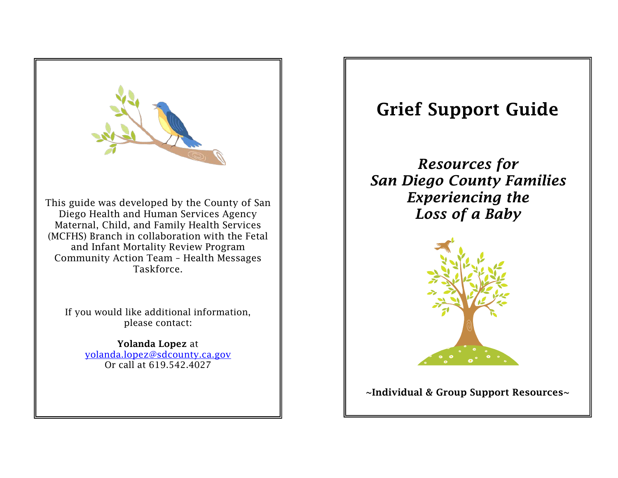

Yolanda Lopez at [yolanda.lopez@sdcounty.ca.gov](mailto:yolanda.lopez@sdcounty.ca.gov) Or call at 619.542.4027

# Grief Support Guide

*Resources for San Diego County Families Experiencing the Loss of a Baby*



~Individual & Group Support Resources~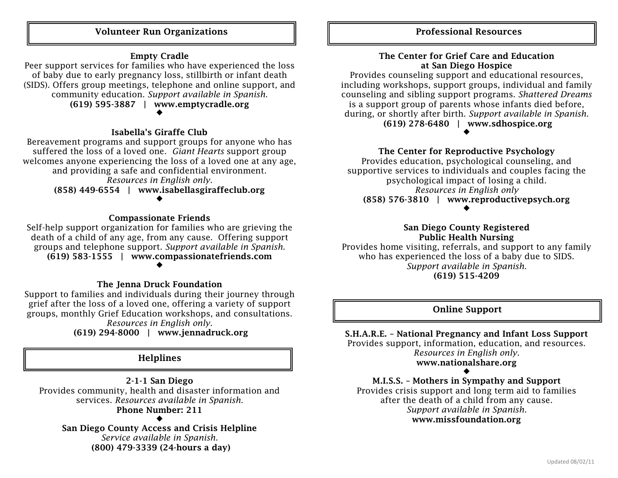### Volunteer Run Organizations  $\|\qquad\|$   $\|\qquad\|$  Professional Resources

### Empty Cradle

Peer support services for families who have experienced the loss of baby due to early pregnancy loss, stillbirth or infant death (SIDS). Offers group meetings, telephone and online support, and community education. *Support available in Spanish.* (619) 595-3887 | www.emptycradle.org

 $\blacklozenge$ 

### Isabella's Giraffe Club

Bereavement programs and support groups for anyone who has suffered the loss of a loved one. *Giant Hearts* support group welcomes anyone experiencing the loss of a loved one at any age, and providing a safe and confidential environment. *Resources in English only.*

(858) 449-6554 | www.isabellasgiraffeclub.org  $\blacklozenge$ 

### Compassionate Friends

Self-help support organization for families who are grieving the death of a child of any age, from any cause. Offering support groups and telephone support. *Support available in Spanish.* (619) 583-1555 | www.compassionatefriends.com  $\blacklozenge$ 

#### The Jenna Druck Foundation

Support to families and individuals during their journey through grief after the loss of a loved one, offering a variety of support groups, monthly Grief Education workshops, and consultations. *Resources in English only.*

(619) 294-8000 | www.jennadruck.org

### Helplines

2-1-1 San Diego Provides community, health and disaster information and services. *Resources available in Spanish.* Phone Number: 211  $\blacklozenge$ 

San Diego County Access and Crisis Helpline *Service available in Spanish.* (800) 479-3339 (24-hours a day)

### The Center for Grief Care and Education at San Diego Hospice

Provides counseling support and educational resources, including workshops, support groups, individual and family counseling and sibling support programs. *Shattered Dreams*  is a support group of parents whose infants died before, during, or shortly after birth. *Support available in Spanish.* (619) 278-6480 | www.sdhospice.org  $\blacklozenge$ 

### The Center for Reproductive Psychology

Provides education, psychological counseling, and supportive services to individuals and couples facing the psychological impact of losing a child. *Resources in English only* (858) 576-3810 | www.reproductivepsych.org  $\blacklozenge$ 

### San Diego County Registered Public Health Nursing

Provides home visiting, referrals, and support to any family who has experienced the loss of a baby due to SIDS. *Support available in Spanish.* (619) 515-4209

### Online Support

S.H.A.R.E. – National Pregnancy and Infant Loss Support Provides support, information, education, and resources. *Resources in English only.* www.nationalshare.org

 $\blacklozenge$ M.I.S.S. – Mothers in Sympathy and Support Provides crisis support and long term aid to families after the death of a child from any cause. *Support available in Spanish.* www.missfoundation.org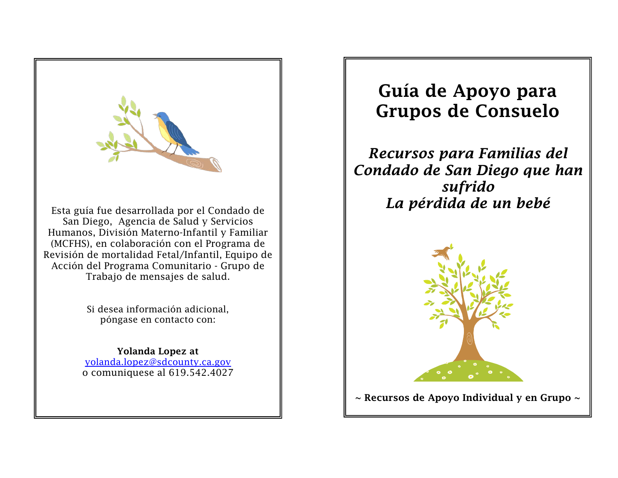

San Diego, Agencia de Salud y Servicios Humanos, División Materno-Infantil y Familiar (MCFHS), en colaboración con el Programa de Revisión de mortalidad Fetal/Infantil, Equipo de Acción del Programa Comunitario - Grupo de Trabajo de mensajes de salud.

> Si desea información adicional, póngase en contacto con:

## Yolanda Lopez at [yolanda.lopez@sdcounty.ca.gov](mailto:yolanda.lopez@sdcounty.ca.gov)

o comuniquese al 619.542.4027

# Guía de Apoyo para Grupos de Consuelo

*Recursos para Familias del Condado de San Diego que han sufrido La pérdida de un bebé*



 $\sim$  Recursos de Apoyo Individual y en Grupo  $\sim$